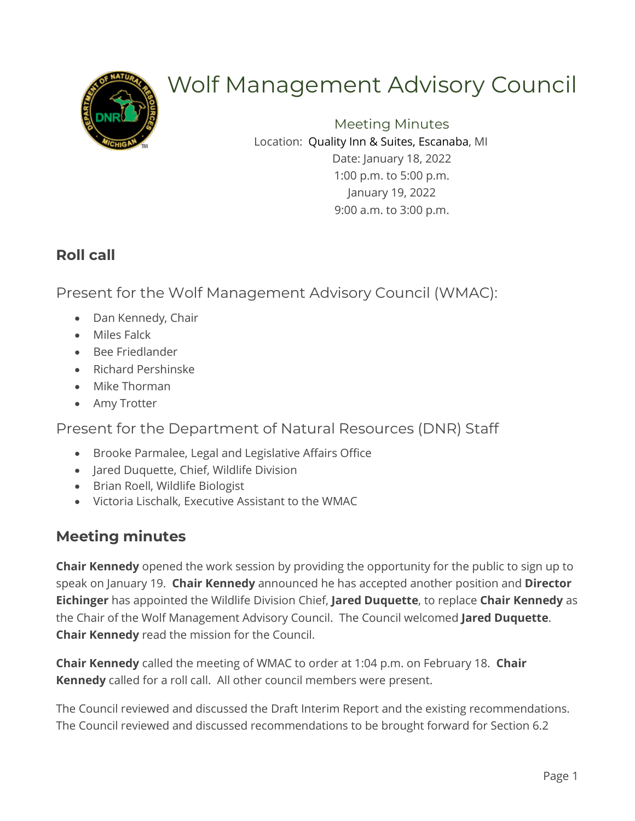

# Wolf Management Advisory Council

Meeting Minutes Location: Quality Inn & Suites, Escanaba, MI Date: January 18, 2022 1:00 p.m. to 5:00 p.m. January 19, 2022 9:00 a.m. to 3:00 p.m.

## **Roll call**

Present for the Wolf Management Advisory Council (WMAC):

- Dan Kennedy, Chair
- Miles Falck
- Bee Friedlander
- Richard Pershinske
- Mike Thorman
- Amy Trotter

Present for the Department of Natural Resources (DNR) Staff

- Brooke Parmalee, Legal and Legislative Affairs Office
- Jared Duquette, Chief, Wildlife Division
- Brian Roell, Wildlife Biologist
- Victoria Lischalk, Executive Assistant to the WMAC

# **Meeting minutes**

**Chair Kennedy** opened the work session by providing the opportunity for the public to sign up to speak on January 19. **Chair Kennedy** announced he has accepted another position and **Director Eichinger** has appointed the Wildlife Division Chief, **Jared Duquette**, to replace **Chair Kennedy** as the Chair of the Wolf Management Advisory Council. The Council welcomed **Jared Duquette**. **Chair Kennedy** read the mission for the Council.

**Chair Kennedy** called the meeting of WMAC to order at 1:04 p.m. on February 18. **Chair Kennedy** called for a roll call. All other council members were present.

The Council reviewed and discussed the Draft Interim Report and the existing recommendations. The Council reviewed and discussed recommendations to be brought forward for Section 6.2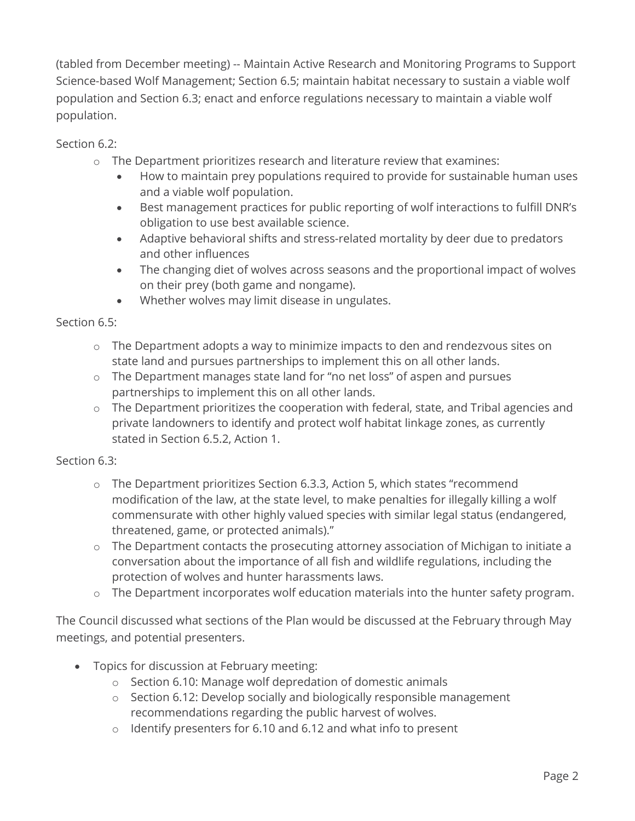(tabled from December meeting) -- Maintain Active Research and Monitoring Programs to Support Science-based Wolf Management; Section 6.5; maintain habitat necessary to sustain a viable wolf population and Section 6.3; enact and enforce regulations necessary to maintain a viable wolf population.

Section 6.2:

- o The Department prioritizes research and literature review that examines:
	- How to maintain prey populations required to provide for sustainable human uses and a viable wolf population.
	- Best management practices for public reporting of wolf interactions to fulfill DNR's obligation to use best available science.
	- Adaptive behavioral shifts and stress-related mortality by deer due to predators and other influences
	- The changing diet of wolves across seasons and the proportional impact of wolves on their prey (both game and nongame).
	- Whether wolves may limit disease in ungulates.

Section 6.5:

- o The Department adopts a way to minimize impacts to den and rendezvous sites on state land and pursues partnerships to implement this on all other lands.
- o The Department manages state land for "no net loss" of aspen and pursues partnerships to implement this on all other lands.
- o The Department prioritizes the cooperation with federal, state, and Tribal agencies and private landowners to identify and protect wolf habitat linkage zones, as currently stated in Section 6.5.2, Action 1.

Section 6.3:

- o The Department prioritizes Section 6.3.3, Action 5, which states "recommend modification of the law, at the state level, to make penalties for illegally killing a wolf commensurate with other highly valued species with similar legal status (endangered, threatened, game, or protected animals)."
- o The Department contacts the prosecuting attorney association of Michigan to initiate a conversation about the importance of all fish and wildlife regulations, including the protection of wolves and hunter harassments laws.
- o The Department incorporates wolf education materials into the hunter safety program.

The Council discussed what sections of the Plan would be discussed at the February through May meetings, and potential presenters.

- Topics for discussion at February meeting:
	- o Section 6.10: Manage wolf depredation of domestic animals
	- o Section 6.12: Develop socially and biologically responsible management recommendations regarding the public harvest of wolves.
	- o Identify presenters for 6.10 and 6.12 and what info to present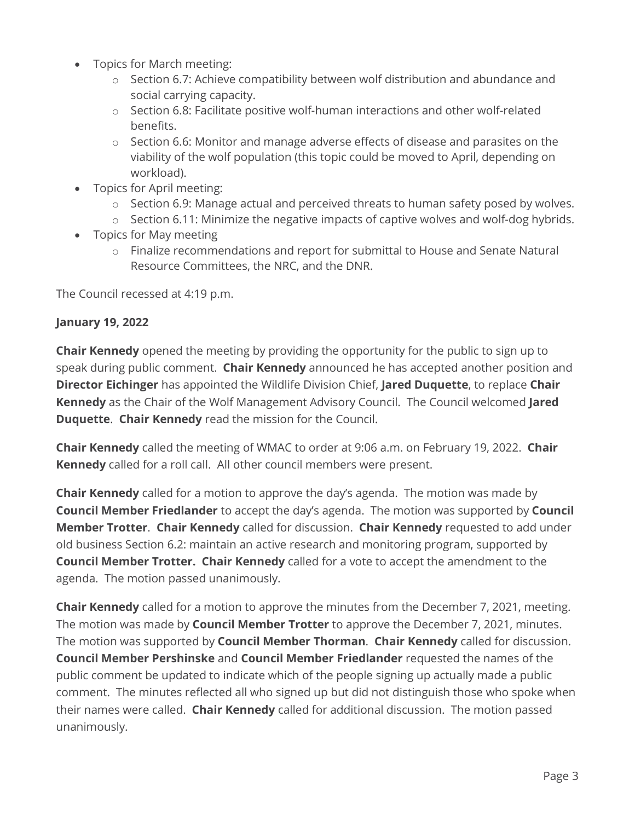- Topics for March meeting:
	- o Section 6.7: Achieve compatibility between wolf distribution and abundance and social carrying capacity.
	- $\circ$  Section 6.8: Facilitate positive wolf-human interactions and other wolf-related benefits.
	- $\circ$  Section 6.6: Monitor and manage adverse effects of disease and parasites on the viability of the wolf population (this topic could be moved to April, depending on workload).
- Topics for April meeting:
	- $\circ$  Section 6.9: Manage actual and perceived threats to human safety posed by wolves.
	- o Section 6.11: Minimize the negative impacts of captive wolves and wolf-dog hybrids.
- Topics for May meeting
	- o Finalize recommendations and report for submittal to House and Senate Natural Resource Committees, the NRC, and the DNR.

The Council recessed at 4:19 p.m.

#### **January 19, 2022**

**Chair Kennedy** opened the meeting by providing the opportunity for the public to sign up to speak during public comment. **Chair Kennedy** announced he has accepted another position and **Director Eichinger** has appointed the Wildlife Division Chief, **Jared Duquette**, to replace **Chair Kennedy** as the Chair of the Wolf Management Advisory Council. The Council welcomed **Jared Duquette**. **Chair Kennedy** read the mission for the Council.

**Chair Kennedy** called the meeting of WMAC to order at 9:06 a.m. on February 19, 2022. **Chair Kennedy** called for a roll call. All other council members were present.

**Chair Kennedy** called for a motion to approve the day's agenda. The motion was made by **Council Member Friedlander** to accept the day's agenda. The motion was supported by **Council Member Trotter**. **Chair Kennedy** called for discussion. **Chair Kennedy** requested to add under old business Section 6.2: maintain an active research and monitoring program, supported by **Council Member Trotter. Chair Kennedy** called for a vote to accept the amendment to the agenda. The motion passed unanimously.

**Chair Kennedy** called for a motion to approve the minutes from the December 7, 2021, meeting. The motion was made by **Council Member Trotter** to approve the December 7, 2021, minutes. The motion was supported by **Council Member Thorman**. **Chair Kennedy** called for discussion. **Council Member Pershinske** and **Council Member Friedlander** requested the names of the public comment be updated to indicate which of the people signing up actually made a public comment. The minutes reflected all who signed up but did not distinguish those who spoke when their names were called. **Chair Kennedy** called for additional discussion. The motion passed unanimously.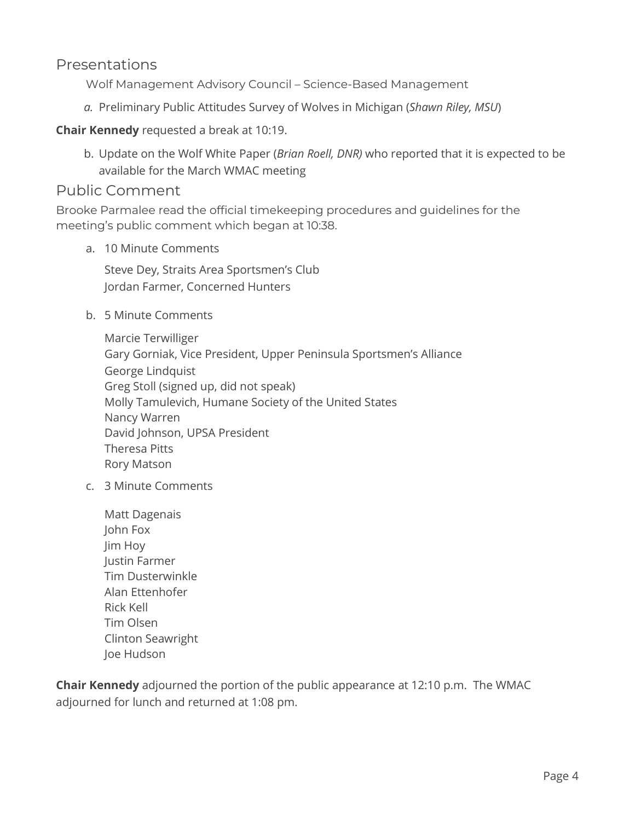#### Presentations

Wolf Management Advisory Council – Science-Based Management

*a.* Preliminary Public Attitudes Survey of Wolves in Michigan (*Shawn Riley, MSU*)

#### **Chair Kennedy** requested a break at 10:19.

b. Update on the Wolf White Paper (*Brian Roell, DNR)* who reported that it is expected to be available for the March WMAC meeting

#### Public Comment

Brooke Parmalee read the official timekeeping procedures and guidelines for the meeting's public comment which began at 10:38.

a. 10 Minute Comments

Steve Dey, Straits Area Sportsmen's Club Jordan Farmer, Concerned Hunters

b. 5 Minute Comments

Marcie Terwilliger Gary Gorniak, Vice President, Upper Peninsula Sportsmen's Alliance George Lindquist Greg Stoll (signed up, did not speak) Molly Tamulevich, Humane Society of the United States Nancy Warren David Johnson, UPSA President Theresa Pitts Rory Matson

- c. 3 Minute Comments
	- Matt Dagenais John Fox Jim Hoy Justin Farmer Tim Dusterwinkle Alan Ettenhofer Rick Kell Tim Olsen Clinton Seawright Joe Hudson

**Chair Kennedy** adjourned the portion of the public appearance at 12:10 p.m. The WMAC adjourned for lunch and returned at 1:08 pm.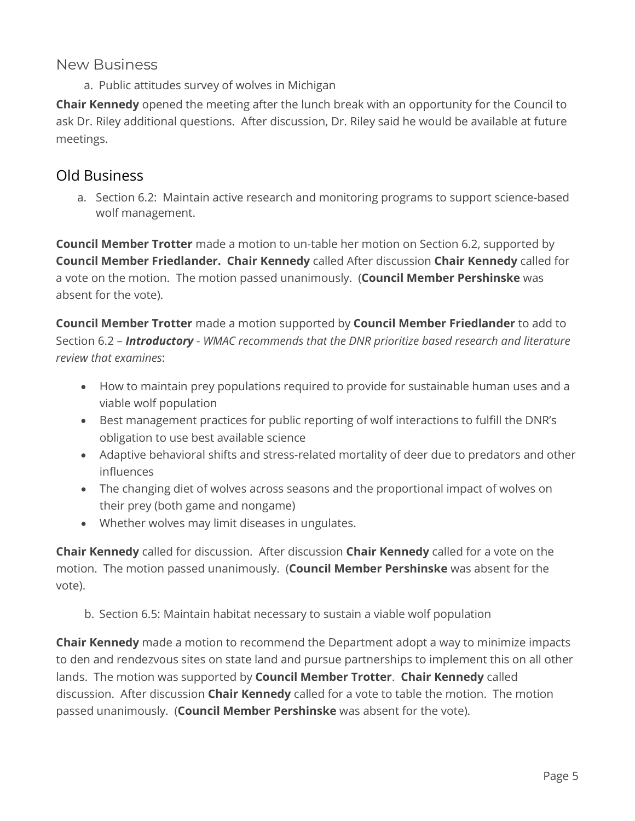#### New Business

a. Public attitudes survey of wolves in Michigan

**Chair Kennedy** opened the meeting after the lunch break with an opportunity for the Council to ask Dr. Riley additional questions. After discussion, Dr. Riley said he would be available at future meetings.

## Old Business

a. Section 6.2: Maintain active research and monitoring programs to support science-based wolf management.

**Council Member Trotter** made a motion to un-table her motion on Section 6.2, supported by **Council Member Friedlander. Chair Kennedy** called After discussion **Chair Kennedy** called for a vote on the motion. The motion passed unanimously. (**Council Member Pershinske** was absent for the vote).

**Council Member Trotter** made a motion supported by **Council Member Friedlander** to add to Section 6.2 – *Introductory* - *WMAC recommends that the DNR prioritize based research and literature review that examines*:

- How to maintain prey populations required to provide for sustainable human uses and a viable wolf population
- Best management practices for public reporting of wolf interactions to fulfill the DNR's obligation to use best available science
- Adaptive behavioral shifts and stress-related mortality of deer due to predators and other influences
- The changing diet of wolves across seasons and the proportional impact of wolves on their prey (both game and nongame)
- Whether wolves may limit diseases in ungulates.

**Chair Kennedy** called for discussion. After discussion **Chair Kennedy** called for a vote on the motion. The motion passed unanimously. (**Council Member Pershinske** was absent for the vote).

b. Section 6.5: Maintain habitat necessary to sustain a viable wolf population

**Chair Kennedy** made a motion to recommend the Department adopt a way to minimize impacts to den and rendezvous sites on state land and pursue partnerships to implement this on all other lands. The motion was supported by **Council Member Trotter**. **Chair Kennedy** called discussion. After discussion **Chair Kennedy** called for a vote to table the motion. The motion passed unanimously. (**Council Member Pershinske** was absent for the vote).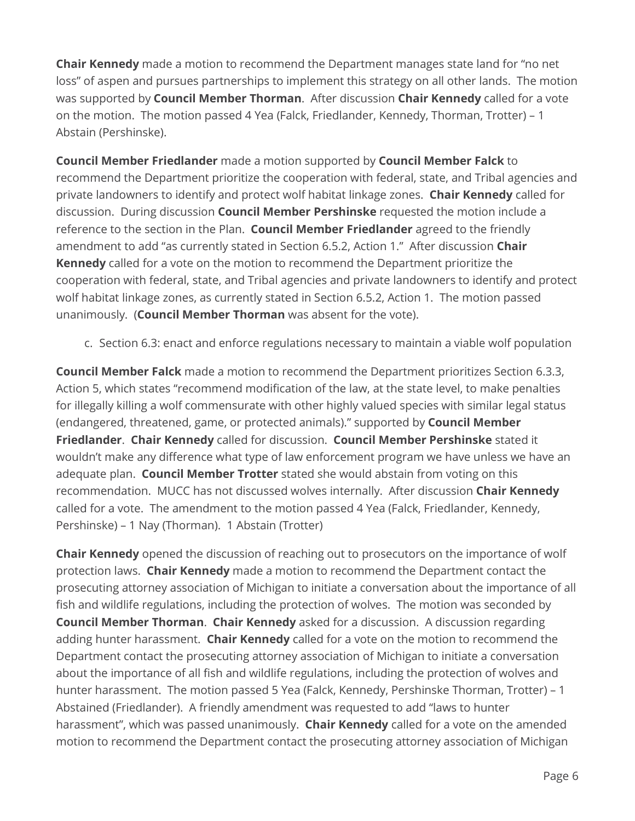**Chair Kennedy** made a motion to recommend the Department manages state land for "no net loss" of aspen and pursues partnerships to implement this strategy on all other lands. The motion was supported by **Council Member Thorman**. After discussion **Chair Kennedy** called for a vote on the motion. The motion passed 4 Yea (Falck, Friedlander, Kennedy, Thorman, Trotter) – 1 Abstain (Pershinske).

**Council Member Friedlander** made a motion supported by **Council Member Falck** to recommend the Department prioritize the cooperation with federal, state, and Tribal agencies and private landowners to identify and protect wolf habitat linkage zones. **Chair Kennedy** called for discussion. During discussion **Council Member Pershinske** requested the motion include a reference to the section in the Plan. **Council Member Friedlander** agreed to the friendly amendment to add "as currently stated in Section 6.5.2, Action 1." After discussion **Chair Kennedy** called for a vote on the motion to recommend the Department prioritize the cooperation with federal, state, and Tribal agencies and private landowners to identify and protect wolf habitat linkage zones, as currently stated in Section 6.5.2, Action 1. The motion passed unanimously. (**Council Member Thorman** was absent for the vote).

#### c. Section 6.3: enact and enforce regulations necessary to maintain a viable wolf population

**Council Member Falck** made a motion to recommend the Department prioritizes Section 6.3.3, Action 5, which states "recommend modification of the law, at the state level, to make penalties for illegally killing a wolf commensurate with other highly valued species with similar legal status (endangered, threatened, game, or protected animals)." supported by **Council Member Friedlander**. **Chair Kennedy** called for discussion. **Council Member Pershinske** stated it wouldn't make any difference what type of law enforcement program we have unless we have an adequate plan. **Council Member Trotter** stated she would abstain from voting on this recommendation. MUCC has not discussed wolves internally. After discussion **Chair Kennedy**  called for a vote. The amendment to the motion passed 4 Yea (Falck, Friedlander, Kennedy, Pershinske) – 1 Nay (Thorman). 1 Abstain (Trotter)

**Chair Kennedy** opened the discussion of reaching out to prosecutors on the importance of wolf protection laws. **Chair Kennedy** made a motion to recommend the Department contact the prosecuting attorney association of Michigan to initiate a conversation about the importance of all fish and wildlife regulations, including the protection of wolves. The motion was seconded by **Council Member Thorman**. **Chair Kennedy** asked for a discussion. A discussion regarding adding hunter harassment. **Chair Kennedy** called for a vote on the motion to recommend the Department contact the prosecuting attorney association of Michigan to initiate a conversation about the importance of all fish and wildlife regulations, including the protection of wolves and hunter harassment. The motion passed 5 Yea (Falck, Kennedy, Pershinske Thorman, Trotter) – 1 Abstained (Friedlander). A friendly amendment was requested to add "laws to hunter harassment", which was passed unanimously. **Chair Kennedy** called for a vote on the amended motion to recommend the Department contact the prosecuting attorney association of Michigan